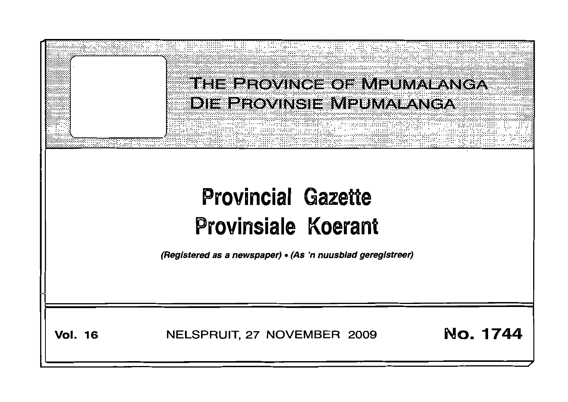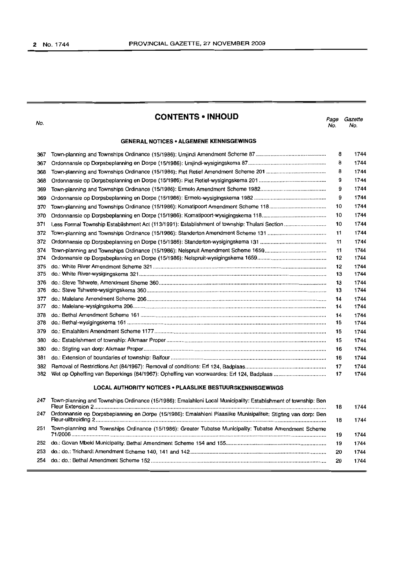No.

# **CONTENTS <sup>0</sup> INHOLID**

Page Gazette No. No.

## **GENERAL NOTICES • ALGEMENE KENNISGEWINGS**

| 367 |                                                                                                                | 8  | 1744  |
|-----|----------------------------------------------------------------------------------------------------------------|----|-------|
| 367 |                                                                                                                | 8  | 1744  |
| 368 |                                                                                                                | 8  | 1744  |
| 368 |                                                                                                                | 9  | 1744  |
| 369 |                                                                                                                | 9  | 1744  |
| 369 |                                                                                                                | 9  | 1744  |
| 370 |                                                                                                                | 10 | 1744  |
| 370 |                                                                                                                | 10 | 1744  |
| 371 |                                                                                                                | 10 | 1744  |
| 372 |                                                                                                                | 11 | 1744  |
| 372 |                                                                                                                | 11 | 1744  |
| 374 |                                                                                                                | 11 | 1744  |
| 374 |                                                                                                                | 12 | 1744  |
| 375 |                                                                                                                | 12 | 1744  |
| 375 |                                                                                                                | 13 | 1744  |
| 376 |                                                                                                                | 13 | 1744  |
| 376 |                                                                                                                | 13 | 1744  |
| 377 |                                                                                                                | 14 | 1744  |
| 377 |                                                                                                                | 14 | 1744  |
| 378 |                                                                                                                | 14 | 1744  |
| 378 |                                                                                                                | 15 | 1744  |
| 379 |                                                                                                                | 15 | 1744  |
| 380 |                                                                                                                | 15 | 1744  |
| 380 |                                                                                                                | 16 | 1744. |
| 381 |                                                                                                                | 16 | 1744  |
| 382 |                                                                                                                | 17 | 1744  |
| 382 |                                                                                                                | 17 | 1744  |
|     | <b>LOCAL AUTHORITY NOTICES • PLAASLIKE BESTUURSKENNISGEWINGS</b>                                               |    |       |
| 247 | Town-planning and Townships Ordinance (15/1986): Emalahleni Local Municipality: Establishment of township: Ben | 18 | 1744  |
| 247 | Ordonnansie op Dorpsbeplanning en Dorpe (15/1986): Emalahleni Plaaslike Munisipaliteit: Stigting van dorp: Ben |    |       |
|     |                                                                                                                | 18 | 1744  |

Town-planning and Townships Ordinance (15/1986): Greater Tubatse Municipality: Tubatse Amendment Scheme

71/2006 19 1744 do.: Govan Mbeki Municipality: Bethal Amendment Scheme 154 and 155................................................................... 19 1744 do.: do.: TrichardtAmendment Scheme 140,141 and 142........................................................................................... 20 1744 do.: do.: Bethal Amendment Scheme 152..................................................................................................................... 20 1744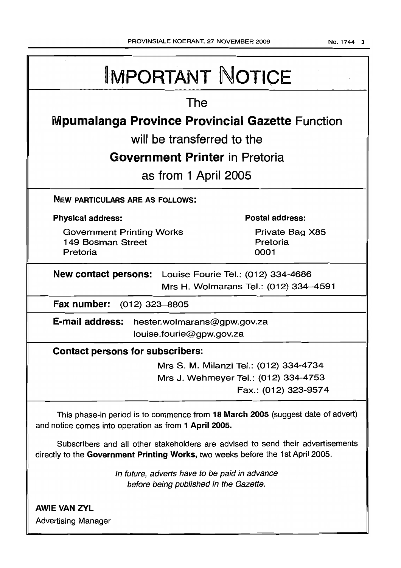NO.1744 3

| <b>IMPORTANT NOTICE</b>                                                                                                                                            |  |  |  |  |  |
|--------------------------------------------------------------------------------------------------------------------------------------------------------------------|--|--|--|--|--|
| The                                                                                                                                                                |  |  |  |  |  |
| <b>Mpumalanga Province Provincial Gazette Function</b>                                                                                                             |  |  |  |  |  |
| will be transferred to the                                                                                                                                         |  |  |  |  |  |
| <b>Government Printer</b> in Pretoria                                                                                                                              |  |  |  |  |  |
| as from 1 April 2005                                                                                                                                               |  |  |  |  |  |
| <b>NEW PARTICULARS ARE AS FOLLOWS:</b>                                                                                                                             |  |  |  |  |  |
| <b>Postal address:</b><br><b>Physical address:</b>                                                                                                                 |  |  |  |  |  |
| <b>Government Printing Works</b><br>Private Bag X85<br>149 Bosman Street<br>Pretoria<br>Pretoria<br>0001                                                           |  |  |  |  |  |
| <b>New contact persons:</b> Louise Fourie Tel.: (012) 334-4686<br>Mrs H. Wolmarans Tel.: (012) 334-4591                                                            |  |  |  |  |  |
| Fax number:<br>(012) 323–8805                                                                                                                                      |  |  |  |  |  |
| E-mail address:<br>hester.wolmarans@gpw.gov.za<br>louise.fourie@gpw.gov.za                                                                                         |  |  |  |  |  |
| <b>Contact persons for subscribers:</b>                                                                                                                            |  |  |  |  |  |
| Mrs S. M. Milanzi Tel.: (012) 334-4734<br>Mrs J. Wehmeyer Tel.: (012) 334-4753<br>Fax.: (012) 323-9574                                                             |  |  |  |  |  |
| This phase-in period is to commence from 18 March 2005 (suggest date of advert)<br>and notice comes into operation as from 1 April 2005.                           |  |  |  |  |  |
| Subscribers and all other stakeholders are advised to send their advertisements<br>directly to the Government Printing Works, two weeks before the 1st April 2005. |  |  |  |  |  |
| In future, adverts have to be paid in advance<br>before being published in the Gazette.                                                                            |  |  |  |  |  |
| <b>AWIE VAN ZYL</b><br><b>Advertising Manager</b>                                                                                                                  |  |  |  |  |  |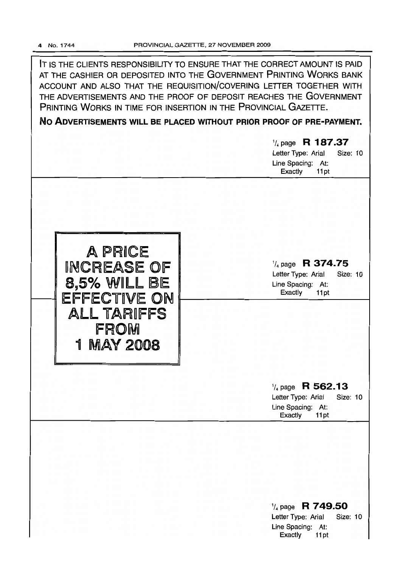IT IS THE CLIENTS RESPONSIBILITY TO ENSURE THAT THE CORRECT AMOUNT IS PAID AT THE CASHIER OR DEPOSITED INTO THE GOVERNMENT PRINTING WORKS BANK ACCOUNT AND ALSO THAT THE REQUISITION/COVERING LETTER TOGETHER WITH THE ADVERTISEMENTS AND THE PROOF OF DEPOSIT REACHES THE GOVERNMENT PRINTING WORKS IN TIME FOR INSERTION IN THE PROVINCIAL GAZETTE.

No ADVERTISEMENTS WILL BE PLACED WITHOUT PRIOR PROOF OF PRE-PAYMENT.

|                                                                                                    | $\frac{1}{4}$ page R 187.37<br>Letter Type: Arial<br><b>Size: 10</b><br>Line Spacing: At:<br>Exactly<br>11pt |
|----------------------------------------------------------------------------------------------------|--------------------------------------------------------------------------------------------------------------|
| A PRICE<br>INCREASE OF<br>8,5% WILL BE<br>EFFECTIVE ON<br>ALL TARIFFS<br>FROM<br><b>1 MAY 2008</b> | $\frac{1}{4}$ page R 374.75<br>Letter Type: Arial<br><b>Size: 10</b><br>Line Spacing: At:<br>Exactly<br>11pt |
|                                                                                                    | $\frac{1}{4}$ page R 562.13<br>Letter Type: Arial<br><b>Size: 10</b><br>Line Spacing: At:<br>Exactly<br>11pt |
|                                                                                                    | $\frac{1}{4}$ page R 749.50<br>Letter Type: Arial<br>Size: 10<br>Line Spacing: At:<br>Exactly<br>11pt        |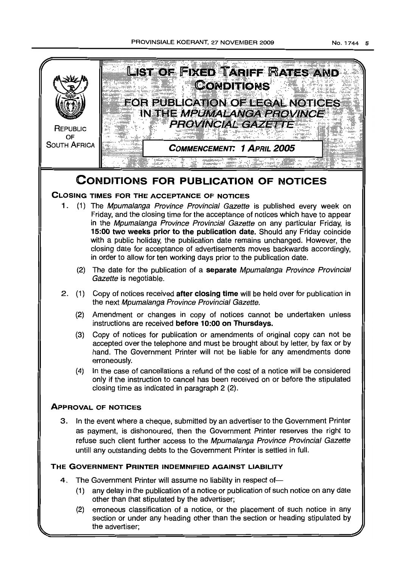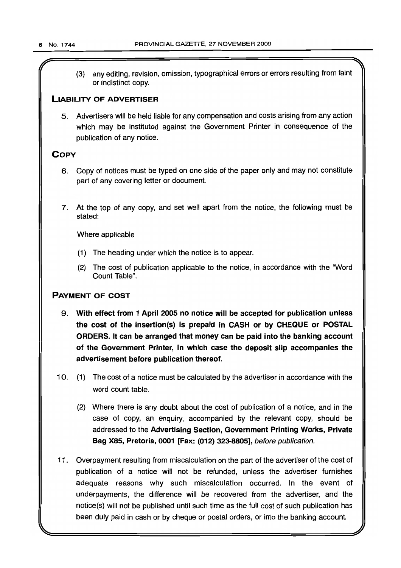r

(3) any editing, revision, omission, typographical errors or errors resulting from faint or indistinct copy.

# LIABILITY OF ADVERTISER

5. Advertisers will be held liable for any compensation and costs arising from any action which may be instituted against the Government Printer in consequence of the publication of any notice.

# **COPY**

- 6. Copy of notices must be typed on one side of the paper only and may not constitute part of any covering letter or document.
- 7. At the top of any copy, and set well apart from the notice, the following must be stated:

Where applicable

- (1) The heading under which the notice is to appear.
- (2) The cost of publication applicable to the notice, in accordance with the 'Word Count Table".

# PAYMENT OF COST

- 9. With effect from 1 April 2005 no notice will be accepted for publication unless the cost of the insertion(s) is prepaid in CASH or by CHEQUE or POSTAL ORDERS. It can be arranged that money can be paid into the banking account of the Government Printer, in which case the deposit slip accompanies the advertisement before publication thereof.
- 10. (1) The cost of a notice must be calculated by the advertiser in accordance with the word count table.
	- (2) Where there is any doubt about the cost of publication of a notice, and in the case of copy, an enquiry, accompanied by the relevant copy, should be addressed to the Advertising Section, Government Printing Works, Private Bag X85, Pretoria, 0001 [Fax: (012) 323-8805], before publication.
- 11 . Overpayment resulting from miscalculation on the part of the advertiser of the cost of publication of a notice will not be refunded, unless the advertiser furnishes adequate reasons why such miscalculation occurred. In the event of underpayments, the difference will be recovered from the advertiser, and the notice(s) will not be published until such time as the full cost of such publication has been duly paid in cash or by cheque or postal orders, or into the banking account.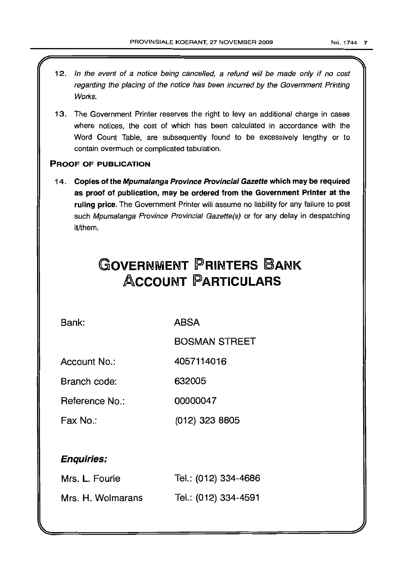12. In the event of a notice being cancelled, a refund will be made only if no cost regarding the placing of the notice has been incurred by the Government Printing Works. 13. The Government Printer reserves the right to levy an additional charge in cases where notices, the cost of which has been calculated in accordance with the Word Count Table, are subsequently found to be excessively lengthy or to contain overmuch or complicated tabulation. PROOF OF PUBLICATION 14. Copies of the Mpumalanga Province Provincial Gazette which may be required as proof of publication, may be ordered from the Government Printer at the ruling price. The Government Printer will assume no liability for any failure to post such Mpumalanga Province Provincial Gazette(s) or for any delay in despatching it/them. **GOVERNMENT PRINTERS BANK ACCOUNT PARTICULARS** Bank: ABSA BOSMAN STREET Account No.: 4057114016 Branch code: 632005 Reference No.: 00000047 Fax No.: (012) 323 8805 Enquiries: Mrs. L. Fourie Mrs. H. Wolmarans Tel.: (012) 334-4686 Tel.: (012) 334-4591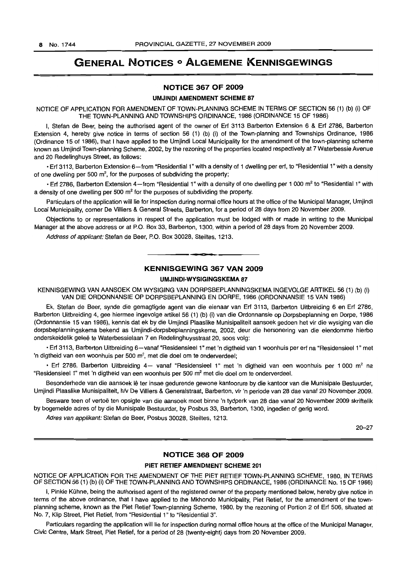# GENERAL NOTICES <sup>0</sup> ALGEMENE KENNISGEWINGS

## NOTICE 367 OF 2009

## UMJINDI AMENDMENT SCHEME 87

NOTICE OF APPLICATION FOR AMENDMENT OF TOWN-PLANNING SCHEME IN TERMS OF SECTION 56 (1) (b) (i) OF THE TOWN-PLANNING AND TOWNSHIPS ORDINANCE, 1986 (ORDINANCE 15 OF 1986)

I, Stefan de Beer, being the authorised agent of the owner of Erf 3113 Barberton Extension 6 & Erf 2786, Barberton Extension 4, hereby give notice in terms of section 56 (1) (b) (i) of the Town-planning and Townships Ordinance, 1986 (Ordinance 15 of 1986), that I have applied to the Umjindi Local Municipality for the amendment of the town-planning scheme known as Umjindi Town-planning Scheme, 2002, by the rezoning of the properties located respectively at 7 Waterbessie Avenue and 20 Redelinghuys Street, as follows:

• Erf 3113, Barberton Extension 6-from "Residential 1" with a density of 1 dwelling per erf, to "Residential 1" with a density of one dwelling per 500  $m^2$ , for the purposes of subdividing the property;

• Erf 2786, Barberton Extension 4-from "Residential 1" with a density of one dwelling per 1 000 m<sup>2</sup> to "Residential 1" with a density of one dwelling per 500  $m<sup>2</sup>$  for the purposes of subdividing the property.

Particulars of the application will lie for inspection during normal office hours at the office of the Municipal Manager, Umjindi Local Municipality, corner De Villiers & General Streets, Barberton, for a period of 28 days from 20 November 2009.

Objections to or representations in respect of the application must be lodged with or made in writing to the Municipal Manager at the above address or at P.O. Box 33, Barberton, 1300, within a period of 28 days from 20 November 2009.

Address of applicant: Stefan de Beer, P.O. Box 30028, Steiltes, 1213.

## KENNISGEWING 367 VAN 2009

<sup>I</sup> **a •**

# UM.IINDI-WYSIGINGSKEMA 87

KENNISGEWING VAN AANSOEK OM WYSIGING VAN DORPSBEPLANNINGSKEMA INGEVOLGE ARTIKEL 56 (1) (b) (i) VAN DIE ORDONNANSIE OP DORPSBEPLANNING EN DORPE, 1986 (ORDONNANSIE 15 VAN 1986)

Ek, Stefan de Beer, synde die gemagtigde agent van die eienaar van Erf 3113, Barberton Uitbreiding 6 en Erf 2786, Barberton Uitbreiding 4, gee hiermee ingevolge artikel 56 (1) (b) (i) van die Ordonnansie op Dorpsbeplanning en Dorpe, 1986 (Ordonnansie 15 van 1986), kennis dat ek by die Umjindi Plaaslike Munisipaliteit aansoek gedoen het vir die wysiging van die dorpsbeplanningskema bekend as Umjindi-dorpsbeplanningskema, 2002, deur die hersonering van die eiendomme hierbo onderskeidelik geleë te Waterbessielaan 7 en Redelinghuysstraat 20, soos volg:

• Erf 3113, Barberton Uitbreiding 6-vanaf "Residensieel 1" met 'n digtheid van 1 woonhuis per erf na "Residensieel 1" met 'n digtheid van een woonhuis per 500 m<sup>2</sup>, met die doel om te onderverdeel;

• Erf 2786, Barberton Uitbreiding 4- vanaf "Residensieel 1" met 'n digtheid van een woonhuis per 1 000 m<sup>2</sup> na "Residensieel 1" met 'n digtheid van een woonhuis per 500 m<sup>2</sup> met die doel om te onderverdeel.

Besonderhede van die aansoek Ie ter insae gedurende gewone kantoorure by die kantoor van die Munisipale Bestuurder, Umjindi Plaaslike Munisipaliteit, h/v De Villiers & Generalstraat, Barberton, vir 'n periode van 28 dae vanaf 20 November 2009.

Besware teen of vertoe ten opsigte van die aansoek moet binne 'n tydperk van 28 dae vanaf 20 November 2009 skriftelik by bogemelde adres of by die Munisipale Bestuurder, by Posbus 33, Barberton, 1300, ingedien of gerig word.

Adres van applikant: Stefan de Beer, Posbus 30028, Steiltes, 1213.

20-27

# NOTICE 368 OF 2009

## PIET RETIEF AMENDMENT SCHEME 201

NOTICE OF APPLICATION FOR THE AMENDMENT OF THE PIET RETIEF TOWN-PLANNING SCHEME, 1980, IN TERMS OF SECTION 56 (1) (b) (i) OF THE TOWN-PLANNING AND TOWNSHIPS ORDINANCE, 1986 (ORDINANCE No. 15 OF 1986)

I, Pinkie Kühne, being the authorised agent of the registered owner of the property mentioned below, hereby give notice in terms of the above ordinance, that I have applied to the Mkhondo Municipality, Piet Retief, for the amendment of the townplanning scheme, known as the Piet Retief Town-planning Scheme, 1980, by the rezoning of Portion 2 of Erf 506, situated at No.7, Klip Street, Piet Retief, from "Residential 1" to "Residential 3".

Particulars regarding the application will lie for inspection during normal office hours at the office of the Municipal Manager, Civic Centre, Mark Street, Piet Retief, for a period of 28 (twenty-eight) days from 20 November 2009.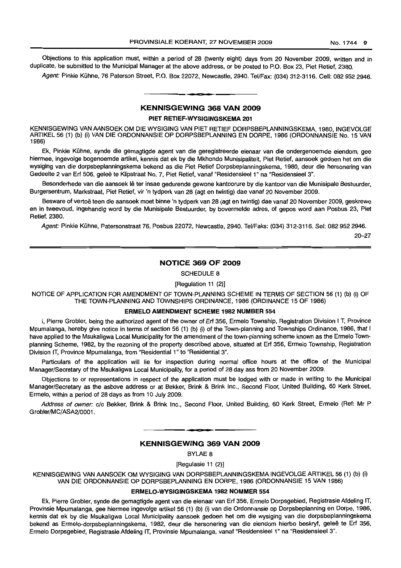Objections to this application must, within a period of 28 (twenty eight) days from 20 November 2009, written and in duplicate, be submitted to the Municipal Manager at the above address, or be posted to P.O. Box 23, Piet Retief, 2380.

Agent: Pinkie Kühne, 76 Paterson Street, P.O. Box 22072, Newcastle, 2940. Tel/Fax: (034) 312-3116. Cell: 082 952 2946.

## KENNISGEWING 368 VAN 2009

**I CI**

### PIET RETIEF-WYSIGINGSKEMA 201

KENNISGEWING VAN AANSOEK OM DIE WYSIGING VAN PIET RETIEF DORPSBEPLANNINGSKEMA, 1980, INGEVOLGE ARTIKEL 56 (1) (b) (i) VAN DIE ORDONNANSIE OP DORPSBEPLANNING EN DORPE, 1986 (ORDONNANSIE No. 15 VAN<br>1986)

Ek, Pinkie Kühne, synde die gemagtigde agent van die geregistreerde eienaar van die ondergenoemde eiendom, gee hiermee, ingevolge bogenoemde artikel, kennis dat ek by die Mkhondo Munisipaliteit, Piet Retief, aansoek gedoen het om die wysiging van die dorpsbeplanningskema bekend as die Piet Retief Dorpsbeplanningskema, 1980, deur die hersonering van Gedeelte 2 van Erf 506, geleë te Klipstraat No. 7, Piet Retief, vanaf "Residensieel 1" na "Residensieel 3".

Besonderhede van die aansoek lê ter insae gedurende gewone kantoorure by die kantoor van die Munisipale Bestuurder, Burgersentrum, Markstraat, Piet Retief, vir 'n tydperk van 28 (agt en twintig) dae vanaf 20 November 2009.

Besware of vertoë teen die aansoek moet binne 'n tydperk van 28 (agt en twintig) dae vanaf 20 November 2009, geskrewe en in tweevoud, ingehandig word by die Munisipale Bestuurder, by bovermelde adres, of gepos word aan Posbus 23, Piet **Retief, 2380.** 

Agent: Pinkie Kühne, Patersonstraat 76, Posbus 22072, Newcastle, 2940. Tel/Faks: (034) 312-3116. Sel: 082 952 2946.

20-27

## NOTICE 369 OF 2009

SCHEDULE 8

[Regulation 11 (2)]

NOTICE OF APPLICATION FOR AMENDMENT OF TOWN-PLANNING SCHEME IN TERMS OF SECTION 56 (1) (b) (i) OF THE TOWN-PLANNING AND TOWNSHIPS ORDINANCE, 1986 (ORDINANCE 15 OF 1986)

## ERMELO AMENDMENT SCHEME 1982 NUMBER 554

I, Pierre Grobler, being the authorized agent of the owner of Erf 356, Ermelo Township, Registration Division I T, Province Mpumalanga, hereby give notice in terms of section 56 (1) (b) (i) of the Town-planning and Townships Ordinance, 1986, that I have applied to the Msukaligwa Local Municipality for the amendment of the town-planning scheme known as the Ermelo Townplanning Scheme, 1982, by the rezoning of the property described above, situated at Erf 356, Ermelo Township, Registration Division IT, Province Mpumalanga, from "Residential 1" to "Residential 3".

Particulars of the application will lie for inspection during normal office hours at the office of the Municipal Manager/Secretary of the Msukaligwa Local Municipality, for a period of 28 day ass from 20 November 2009.

Objections to or representations in respect of the application must be lodged with or made in writing to the Municipal Manager/Secretary as the asbove address or at Bekker, Brink & Brink Inc., Second Floor, United Building, 60 Kerk Street, Ermelo, within a period of 28 days as from 10 July 2009.

Address of owner: c/o Bekker, Brink & Brink Inc., Second Floor, United Building, 60 Kerk Street, Ermelo (Ref: Mr P Grobler/MC/ASA2/0001.

# KENNISGEWING 369 VAN 2009

• **C •**

BYLAE 8

[Regulasie 11 (2)]

KENNISGEWING VAN AANSOEK OM WYSIGING VAN DORPSBEPLANNINGSKEMA INGEVOLGE ARTIKEL 56 (1) (b) (i) VAN DIE ORDONNANSIE OP DORPSBEPLANNING EN DORPE, 1986 (ORDONNANSIE 15 VAN 1986)

## ERMELO-WYSIGINGSKEMA 1982 NOMMER 554

Ek, Pierre Grobler, synde die gemagtigde agent van die eienaar van Erf 356, Ermelo Dorpsgebied, Registrasie Afdeling IT, Provinsie Mpumalanga, gee hiermee ingevolge artikel 56 (1) (b) (i) van die Ordonnansie op Dorpsbeplanning en Dorpe, 1986, kennis dat ek by die Msukaligwa Local Municipality aansoek gedoen het om die wysiging van die dorpsbeplanningskema bekend as Ermelo-dorpsbeplanningskema, 1982, deur die hersonering van die eiendom hierbo beskryf, geleë te Erf 356, Ermelo Dorpsgebied, Registrasie Afdeling IT, Provinsie Mpumalanga, vanaf "ResidensieeI1" na "ResidensieeI3".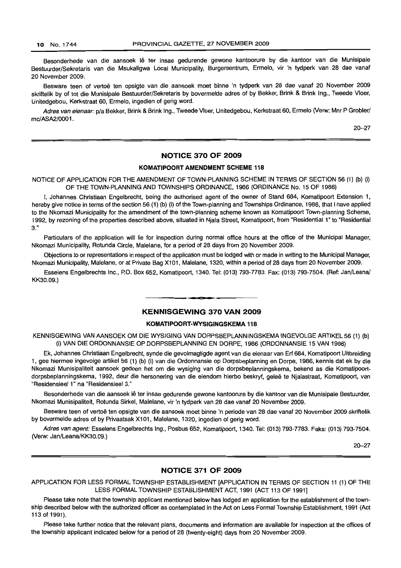Besonderhede van die aansoek lê ter insae gedurende gewone kantoorure by die kantoor van die Munisipale Bestuurder/Sekretaris van die Msukaligwa Local Municipality, Burgersentrum, Ermelo, vir 'n tydperk van 28 dae vanaf 20 November 2009.

Besware teen of vertoë ten opsigte van die aansoek moet binne 'n tydperk van 28 dae vanaf 20 November 2009 skriftelik by of tot die Munisipale Bestuurder/Sekretaris by bovermelde adres of by Bekker, Brink & Brink Ing., Tweede Vloer, Unitedgebou, Kerkstraat 60, Ermelo, ingedien of gerig word.

Adres van eienaar: p/a Bekker, Brink & Brink Ing., Tweede Vloer, Unitedgebou, Kerkstraat 60, Ermelo (Verw: Mnr P Grobler/ mc/ASA2/0001.

20-27

## **NOTICE 370 OF 2009**

# **KOMATIPOORT AMENDMENT SCHEME 118**

NOTICE OF APPLICATION FOR THE AMENDMENT OF TOWN-PLANNING SCHEME IN TERMS OF SECTION 56 (1) (b) (i) OF THE TOWN-PLANNING AND TOWNSHIPS ORDINANCE, 1986 (ORDINANCE No. 15 OF 1986)

I, Johannes Christiaan Engelbrecht, being the authorised agent of the owner of Stand 684, Komatipoort Extension 1, hereby give notice in terms of the section 56 (1) (b) (i) of the Town-planning and Townships Ordinance, 1986, that I have applied to the Nkomazi Municipality for the amendment of the town-planning scheme known as Komatipoort Town-planning Scheme, 1992, by rezoning of the properties described above, situated in Njala Street, Komatipoort, from "Residential 1" to "Residential 3."

Particulars of the application will lie for inspection during normal office hours at the office of the Municipal Manager, Nkomazi Municipality, Rotunda Circle, Malelane, for a period of 28 days from 20 November 2009.

Objections to or representations in respect of the application must be lodged with or made in writing to the Municipal Manager, Nkomazi Municipality, Malelane, or at Private Bag X101, Malelane, 1320, within a period of 28 days from 20 November 2009.

Esselens Engelbrechts Inc., P.O. Box 652, Komatipoort, 1340. Tel: (013) 793-7783. Fax: (013) 793-7504. (Ref: Jan/Leana/ KK30.09.)

## **KENNISGEWING 370 VAN 2009**

**CI •**

## **KOMATIPOORT-WYSIGINGSKEMA 118**

KENNISGEWING VAN AANSOEK OM DIE WYSIGING VAN DORPSBEPLANNINGSKEMA INGEVOLGE ARTIKEL 56 (1) (b) (i) VAN DIE ORDONNANSIE OP DORPSBEPLANNING EN DORPE, 1986 (ORDONNANSIE 15 VAN 1986)

Ek, Johannes Christiaan Engelbrecht, synde die gevolmagtigde agent van die eienaar van Erf 684, Komatipoort Uitbreiding 1, gee hiermee ingevolge artikel 56 (1) (b) (i) van die Ordonnansie op Dorpsbeplanning en Dorpe, 1986, kennis dat ek by die Nkomazi Munisipaliteit aansoek gedoen het om die wysiging van die dorpsbeplanningskema, bekend as die Komatipoortdorpsbeplanningskema, 1992, deur die hersonering van die eiendom hierbo beskryf, gelee te Njalastraat, Komatipoort, van "Residensieel 1" na "Residensieel 3."

Besonderhede van die aansoek lê ter insae gedurende gewone kantoorure by die kantoor van die Munisipale Bestuurder, Nkomazi Munisipaliteit, Rotunda Sirkel, Male/ane, vir 'n tydperk van 28 dae vanaf 20 November 2009.

Besware teen of vertoë ten opsigte van die aansoek moet binne 'n periode van 28 dae vanaf 20 November 2009 skriftelik by bovermelde adres of by Privaatsak X101, Malelane, 1320, ingedien of gerig word.

Adres van agent: Esselens Engelbrechts Ing., Posbus 652, Komatipoort, 1340. Tel: (013) 793-7783. Faks: (013) 793-7504. (Verw: Jan/Leana/KK30.09.)

20-27

## **NOTICE 371 OF 2009**

APPLICATION FOR LESS FORMAL TOWNSHIP ESTABLISHMENT [APPLICATION IN TERMS OF SECTION 11 (1) OF THE LESS FORMAL TOWNSHIP ESTABLISHMENT ACT, 1991 (ACT 113 OF 1991]

Please take note that the township applicant mentioned below has lodged an application for the establishment of the township described below with the authorized officer as contemplated in the Act on Less Formal Township Establishment, 1991 (Act 113 of 1991).

Please take further notice that the relevant plans, documents and information are available for inspection at the offices of the township applicant indicated below for a period of 28 (twenty-eight) days from 20 November 2009.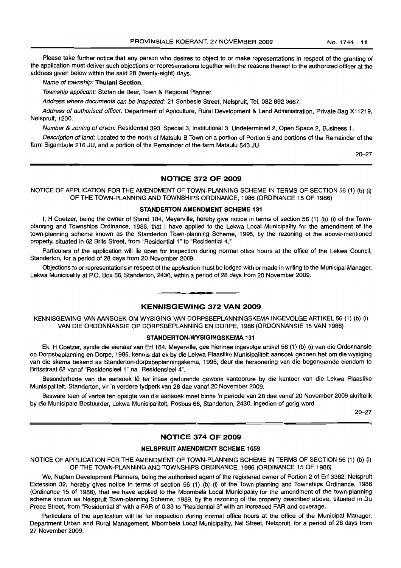Please take further notice that any person who desires to object to or make representations in respect of the granting of the application must deliver such objections or representations together with the reasons thereof to the authorized officer at the address given below within the said 28 (twenty-eight) days.

Name of township: Thulani Section.

Township applicant: Stefan de Beer, Town & Regional Planner.

Address where documents can be inspected: 21 Sonbesie Street, Nelspruit, Tel. 082 892 3667.

Address of authorised officer: Department of Agriculture, Rural Development & Land Administration, Private Bag X11219, Nelspruit, 1200.

Number & zoning of erven: Residential 393, Special 3, Institutional 3, Undetermined 2, Open Space 2, Business 1.

Description of land: Located to the north of Matsulu B Town on a portion of Portion 5 and portions of the Remainder of the farm Sigambule 216 JU, and a portion of the Remainder of the farm Matsulu 543 JU.

20-27

#### NOTICE 372 OF 2009

NOTICE OF APPLICATION FOR THE AMENDMENT OF TOWN-PLANNING SCHEME IN TERMS OF SECTION 56 (1) (b) (i) OF THE TOWN-PLANNING AND TOWNSHIPS ORDINANCE, 1986 (ORDINANCE 15 OF 1986)

## STANDERTON AMENDMENT SCHEME 131

I, H Coetzer, being the owner of Stand 184, Meyerville, hereby give notice in terms of section 56 (1) (b) (i) of the Townplanning and Townships Ordinance, 1986, that I have applied to the Lekwa Local Municipality for the amendment of the town-planning scheme known as the Standerton Town-planning Scheme, 1995, by the rezoning of the above-mentioned property, situated in 62 Brits Street, from "Residential 1" to "Residential 4."

Particulars of the application will lie open for inspection during normal office hours at the office of the Lekwa Council, Standerton, for a period of 28 days from 20 November 2009.

Objections to or representations in respect of the application must be lodged with or made in writing to the Municipal Manager, Lekwa Municipality at P.O. Box 66, Standerton, 2430, within a period of 28 days from 20 November 2009.

## KENNISGEWING 372 VAN 2009

**• ::0:**

KENNISGEWING VAN AANSOEK OM WYSIGING VAN DORPSBEPLANNINGSKEMA INGEVOLGE ARTIKEL 56 (1) (b) (i) VAN DIE ORDONNANSIE OP DORPSBEPLANNING EN DORPE, 1986 (ORDONNANSIE 15 VAN 1986)

## STANDERTON-WYSIGINGSKEMA 131

Ek, H Coetzer, synde die eienaar van Erf 184, Meyerville, gee hiermee ingevolge artikel 56 (1) (b) (i) van die Ordonnansie op Dorpsbeplanning en Dorpe, 1986, kennis dat ek by die Lekwa Plaaslike Munisipaliteit aansoek gedoen het om die wysiging van die skema bekend as Standerton-dorpsbeplanningskema, 1995, deur die hersonering van die bogenoemde eiendom te Britsstraat 62 vanaf "Residensieel 1" na "Residensieel 4".

Besonderhede van die aansoek lê ter insae gedurende gewone kantoorure by die kantoor van die Lekwa Plaaslike Munisipaliteit, Standerton, vir 'n verdere tydperk van 28 dae vanaf 20 November 2009.

Besware teen of vertoe ten opsigte van die aansoek moet binne 'n periode van 28 dae vanaf 20 November 2009 skriftelik by die Munisipale Bestuurder, Lekwa Munisipaliteit, Posbus 66, Standerton, 2430, ingedien of gerig word.

20-27

## NOTICE 374 OF 2009

#### NElSPAUIT AMENDMENT SCHEME 1659

NOTICE OF APPLICATION FOR THE AMENDMENT OF TOWN-PLANNING SCHEME IN TERMS OF SECTION 56 (1) (b) (i) OF THE TOWN-PLANNING AND TOWNSHIPS ORDINANCE, 1986 (ORDINANCE 15 OF 1986)

We, Nuplan Development Planners, being the authorised agent of the registered owner of Portion 2 of Erf 3362, Nelspruit Extension 32, hereby gives notice in terms of section 56 (1) (b) (i) of the Town-planning and Townships Ordinance, 1986 (Ordinance 15 of 1986), that we have applied to the Mbombela Local Municipality for the amendment of the town-planning scheme known as Nelspruit Town-planning Scheme, 1989, by the rezoning of the property described above, situated in Du Preez Street, from "Residential 3" with a FAR of 0.33 to "Residential 3" with an increased FAR and coverage.

Particulars of the application will lie for inspection during normal office hours at the office of the Municipal Manager, Department Urban and Rural Management, Mbombela Local Municipality, Nel Street, Nelspruit, for a period of 28 days from 27 November 2009.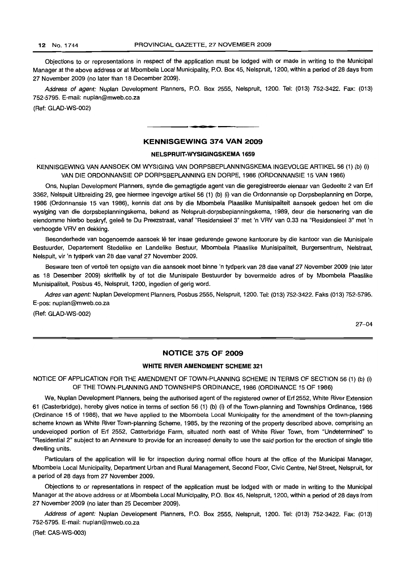Objections to or representations in respect of the application must be lodged with or made in writing to the Municipal Manager at the above address or at Mbombela Local Municipality, P.O. Box 45, Nelspruit, 1200, within a period of 28 days from 27 November 2009 (no later than 18 December 2009).

Address of agent: Nuplan Development Planners, P.O. Box 2555, Nelspruit, 1200. Tel: (013) 752-3422. Fax: (013) 752-5795. E-mail: nuplan@mweb.co.za

(Ref: GLAD-WS-002)

# **KENNISGEWING 374 VAN 2009**

• **=: •**

## **NELSPRUIT-WYSIGINGSKEMA 1659**

KENNISGEWING VAN AANSOEK OM WYSIGING VAN DORPSBEPLANNINGSKEMA INGEVOLGE ARTIKEL 56 (1) (b) (i) VAN DIE ORDONNANSIE OP DORPSBEPLANNING EN DORPE, 1986 (ORDONNANSIE 15 VAN 1986)

Ons, Nuplan Development Planners, synde die gemagtigde agent van die geregistreerde eienaar van Gedeelte 2 van Erf 3362, Nelspuit Uitbreiding 29, gee hiermee ingevolge artikel 56 (1) (b) (i) van die Ordonnansie op Dorpsbeplanning en Dorpe, 1986 (Ordonnansie 15 van 1986), kennis dat ons by die Mbombela Plaaslike Munisipaliteit aansoek gedoen het om die wysiging van die dorpsbeplanningskema, bekend as Nelspruit-dorpsbeplanningskema, 1989, deur die hersonering van die eiendomme hierbo beskryf, gelee te Du Preezstraat, vanaf "Residensieel 3" met 'n VRV van 0.33 na "Residensieel 3" met 'n verhocgde VRV en dekking.

Besonderhede van bogenoemde aansoek lê ter insae gedurende gewone kantoorure by die kantoor van die Munisipale Bestuurder, Departement Stedelike en Landelike Bestuur, Mbombela Plaaslike Munisipaliteit, Burgersentrum, Nelstraat, Nelspuit, vir 'n tydperk van 28 dae vanaf 27 November 2009.

Besware teen of vertoë ten opsigte van die aansoek moet binne 'n tydperk van 28 dae vanaf 27 November 2009 (nie later as 18 Desember 2009) skriftelik by of tot die Munisipale Bestuurder by bovermelde adres of by Mbombela Plaaslike Munisipaliteit, Posbus 45, Nelspruit, 1200, ingedien of gerig word.

Adres van agent: Nuplan Development Planners, Posbus 2555, Nelspruit, 1200. Tel: (013) 752-3422. Faks (013) 752-5795. E-pos: nuplan@mweb.co.za

(Ref: GLAD-WS-002)

27-04

# **NOTICE 375 OF 2009**

## **WHITE RIVER AMENDMENT SCHEME 321**

NOTICE OF APPLICATION FOR THE AMENDMENT OF TOWN-PLANNING SCHEME IN TERMS OF SECTION 56 (1) (b) (i) OF THE TOWN-PLANNING AND TOWNSHIPS ORDINANCE, 1986 (ORDINANCE 15 OF 1986)

We, Nuplan Development Planners, being the authorised agent of the registered owner of Erf 2552, White River Extension 61 (Casterbridge), hereby gives notice in terms of section 56 (1) (b) (i) of the Town-planning and Townships Ordinance, 1986 (Ordinance 15 of 1986), that we have applied to the Mbombela Local Municipality for the amendment of the town-planning scheme known as White River Town-planning Scheme, 1985, by the rezoning of the property described above, comprising an undeveloped portion of Erf 2552, Casterbridge Farm, situated north east of White River Town, from "Undetermined" to "Residential 2" subject to an Annexure to provide for an increased density to use the said portion for the erection of single title dwelling units.

Particulars of the application will lie for inspection during normal office hours at the office of the Municipal Manager, Mbombela Local Municipality, Department Urban and Rural Management, Second Floor, Civic Centre, Nel Street, Nelspruit, for a period of 28 days from 27 November 2009,

Objections to or representations in respect of the application must be lodged with or made in writing to the Municipal Manager at the above address or at Mbombela Local Municipality, P.O. Box 45, Nelspruit, 1200, within a period of 28 days from 27 November 2009 (no later than 25 December 2009).

Address of agent: Nuplan Development Planners, P.O. Box 2555, Nelspruit, 1200. Tel: (013) 752-3422. Fax: (013) 752-5795. E-mail: nuplan@mweb.co.za

(Ref: CAS-WS-003)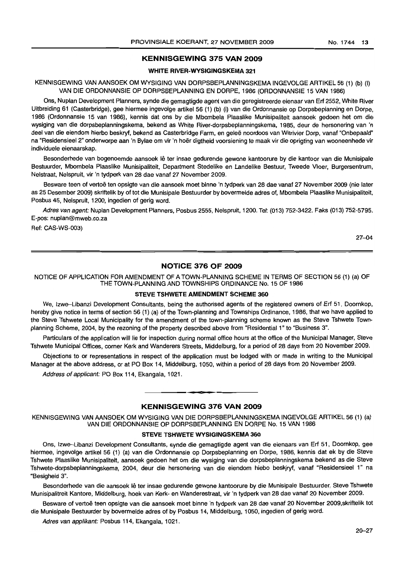## **KENNISGEWING 375 VAN 2009**

# **WHITE RIVER-WYSIGINGSKEMA 321**

KENNISGEWING VAN AANSOEK OM WYSIGING VAN DORPSBEPLANNINGSKEMA INGEVOLGE ARTIKEL 56 (1) (b) (l) VAN DIE ORDONNANSIE OP DORPSBEPLANNING EN DORPE, 1986 (ORDONNANSIE 15 VAN 1986)

Ons, Nuplan Development Planners, synde die gemagtigde agent van die geregistreerde eienaar van Erf 2552, White River Uitbreiding 61 (Casterbridge), gee hiermee ingevolge artikel 56 (1) (b) (i) van die Ordonnansie op Dorpsbeplanning en Dorpe, 1986 (Ordonnansie 15 van 1986), kennis dat ons by die Mbombela Plaaslike Munisipaliteit aansoek gedoen het om die wysiging van die dorpsbeplanningskema, bekend as White River-dorpsbeplanningskema, 1985, deur de hersonering van 'n deel van die eiendom hierbo beskryf, bekend as Casterbridge Farm, en gelee noordoos van Witrivier Dorp, vanaf "Onbepaald" na "Residensieel 2" onderworpe aan 'n Bylae om vir 'n hoër digtheid voorsiening te maak vir die oprigting van wooneenhede vir individuele eienaarskap.

Besonderhede van bogenoemde aansoek lê ter insae gedurende gewone kantoorure by die kantoor van die Munisipale Bestuurder, Mbombela Plaaslike Munisipaliteit, Department Stedelike en Landelike Bestuur, Tweede Vloer, Burgersentrum, Nelstraat, Nelspruit, vir 'n tydperk van 28 dae vanaf 27 November 2009.

Besware teen of vertoë ten opsigte van die aansoek moet binne 'n tydperk van 28 dae vanaf 27 November 2009 (nie later as 25 Desember 2009) skriftelik by of tot die Munisipale Bestuurder by bovermelde adres of, Mbombela Plaaslike Munisipaliteit, Posbus 45, Nelspruit, 1200, ingedien of gerig word.

Adres van agent: Nuplan Development Planners, Posbus 2555, Nelspruit, 1200. Tel: (013) 752-3422. Faks (013) 752-5795. E-pos: nuplan@mweb.co.za

Ref: CAS-WS-003)

27-04

# **No-nCE 376 OF 2009**

NOTICE OF APPLICATION FOR AMENDMENT OF A TOWN-PLANNING SCHEME IN TERMS OF SECTION 56 (1) (a) OF THE TOWN-PLANNING AND TOWNSHIPS ORDINANCE No. 15 OF 1986

## **STEVE TSHWETE AMENDMENT SCHEME 360**

We, Izwe-Libanzi Development Consultants, being the authorised agents of the registered owners of Erf 51, Doornkop, hereby give notice in terms of section 56 (1) (a) of the Town-planning and Townships Ordinance, 1986, that we have applied to the Steve Tshwete Local Municipality for the amendment of the town-planning scheme known as the Steve Tshwete Townplanning Scheme, 2004, by the rezoning of the property described above from "Residential 1" to "Business 3".

Particulars of the application will lie for inspection during normal office hours at the office of the Municipal Manager, Steve Tshwete Municipal Offices, corner Kerk and Wanderers Streets, Middelburg, for a period of 28 days from 20 November 2009.

Objections to or representations in respect of the application must be lodged with or made in writing to the Municipal Manager at the above address, or at PO Box 14, Middelburg, 1050, within a period of 28 days from 20 November 2009.

Address of applicant: PO Box 114, Ekangala, 1021.

## **KENNISGEWING 376 VAN 2009**

**= •**

KENNISGEWING VAN AANSOEK OM WYSIGING VAN DIE DORPSBEPLANNINGSKEMA INGEVOLGE ARTIKEL 56 (1) (a) VAN DIE ORDONNANSIE OP DORPSBEPLANNING EN DORPE No. 15 VAN 1986

#### **STEVE TSHWETE WYSIGINGSKEMA 360**

Ons, Izwe-Libanzi Development Consultants, synde die gemagtigde agent van die eienaars van Erf 51, Doornkop, gee hiermee, ingevolge artikel 56 (1) (a) van die Ordonnansie op Dorpsbeplanning en Dorpe, 1986, kennis dat ek by die Steve Tshwete Plaaslike Munisipaliteit, aansoek gedoen het om die wysiging van die dorpsbeplanningskema bekend as die Steve Tshwete-dorpsbeplanningskema, 2004, deur die hersonering van die eiendom hiebo beskjryf, vanaf "Residensieel 1" na "Besigheid 3".

Besonderhede van die aansoek lê ter insae gedurende gewone kantoorure by die Munisipale Bestuurder, Steve Tshwete Munisipalitreit Kantore, Middelburg, hoek van Kerk- en Wanderestraat, vir 'n tydperk van 28 dae vanaf 20 November 2009.

Besware of vertoe teen opsigte van die aansoek moet binne 'n tydperk van 28 dae vanaf 20 November 2009,skriftelik tot die Munisipale Bestuurder by bovermelde adres of by Posbus 14, Middelburg, 1050, ingedien of gerig word.

Adres van applikant: Posbus 114, Ekangala, 1021.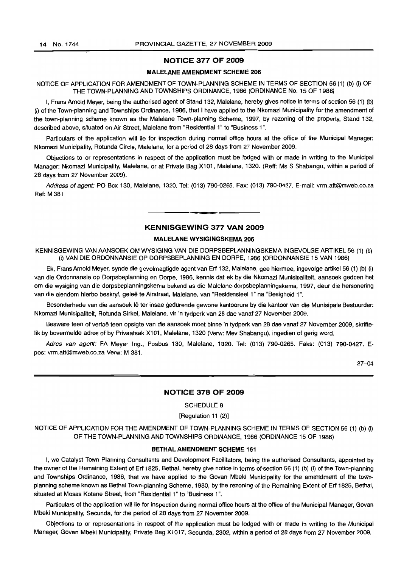#### NOTICE 377 OF 2009

## MALELANE AMENDMENT SCHEME 206

NOTICE OF APPLICATION FOR AMENDMENT OF TOWN-PLANNING SCHEME IN TERMS OF SECTION 56 (1) (b) (i) OF THE TOWN-PLANNING AND TOWNSHIPS ORDINANCE, 1986 (ORDINANCE No. 15 OF 1986)

I, Frans Arnold Meyer, being the authorised agent of Stand 132, Malelane, hereby gives notice in terms of section 56 (1) (b) (i) of the Town-planning and Townships Ordinance, 1986, that I have applied to the Nkomazi Municipality for the amendment of the town-planning scheme known as the Malelane Town-planning Scheme, 1997, by rezoning of the property, Stand 132, described above, situated on Air Street, Malelane from "Residential 1" to "Business 1".

Particulars of the application will lie for inspection during normal office hours at the office of the Municipal Manager: Nkomazi Municipality, Rotunda Circle, Male/ane, for a period of 28 days from 27 November 2009.

Objections to or representations in respect of the application must be lodged with or made in writing to the Municipal Manager: Nkomazi Municipality, Malelane, or at Private Bag X101, Malelane, 1320. (Reff: Ms S Shabangu, within a period of 28 days from 27 November 2009).

Address of agent: PO Box 130, Malelane, 1320. Tel: (013) 790-0265. Fax: (013) 790-0427. E-mail: vrm.att@mweb.co.za Ref: M 381.

# KENNISGEWING 377 VAN 2009

**.11:11**

## MALELANE WYSIGINGSKEMA 206

KENNISGEWING VAN AANSOEK OM WYSIGING VAN DIE DORPSBEPLANNINGSKEMA INGEVOLGE ARTIKEL 56 (1) (b) (i) VAN DIE ORDONNANSJE OP DORPSBEPLANNING EN DORPE, 1986 (ORDONNANSIE 15 VAN 1986)

Ek, Frans Arnold Meyer, synde die gevolmagtigde agent van Erf 132, Malelane, gee hiermee, ingevolge artikel 56 (1) (b) (i) van die Ordonnansie op Dorpsbeplanning en Dorpe, 1986, kennis dat ek by die Nkomazi Munisipaliteit, aansoek gedoen het om die wysiging van die dorpsbeplanningskema bekend as die Malelane-dorpsbeplanningskema, 1997, deur die hersonering van die eiendom hierbo beskryf, gelee te Airstraat, Malelane, van "Residensieel 1" na "Besigheid 1",

Besonderhede van die aansoek lê ter insae gedurende gewone kantoorure by die kantoor van die Munisipale Bestuurder: Nkomazi Munisipaliteit, Rotunda Sirkel, Malelane, vir 'n tydperk van 28 dae vanaf 27 November 2009.

Besware teen of vertoë teen opsigte van die aansoek moet binne 'n tydperk van 28 dae vanaf 27 November 2009, skrifte-Iik by bovermelde adres of by Privaatsak X101, Malelane, 1320 (Verw: Mev Shabangu), ingedien of gerig word.

Adres van agent: FA Meyer Ing., Posbus 130, Malelane, 1320. Tel: (013) 790-0265. Faks: (013) 790-0427. Epos: vrm.att@mweb.co.za Verw: M 381.

27-04

## NOTICE 378 OF 2009

#### SCHEDULE 8

[Regulation 11 (2)]

NOTICE OF APPLICATION FOR THE AMENDMENT OF TOWN-PLANNING SCHEME IN TERMS OF SECTION 56 (1) (b) (i) OF THE TOWN-PLANNING AND TOWNSHIPS ORDINANCE, 1986 (ORDINANCE 15 OF 1986)

## BETHALAMENDMENT SCHEME 161

I, we Catalyst Town Planning Consultants and Development Facilitators, being the authorised Consultants, appointed by the owner of the Remaining Extent of Erf 1825, Bethal, hereby give notice in terms of section 56 (1) (b) (i) of the Town-planning and Townships Ordinance, 1986, that we have applied to the Govan Mbeki Municipality for the amendment of the townplanning scheme known as Bethal Town-planning Scheme, 1980, by the rezoning of the Remaining Extent of Erf 1825, Bethal, situated at Moses Kotane Street, from "Residential 1" to "Business 1".

Particulars of the application will lie for inspection during normal office hours at the office of the Municipal Manager, Govan Mbeki Municipality, Secunda, for the period of 28 days from 27 November 2009.

Objections to or representations in respect of the application must be lodged with or made in writing to the Municipal Manager, Goven Mbeki Municipality, Private Bag X1017, Secunda, 2302, within a period of 28 days from 27 November 2009.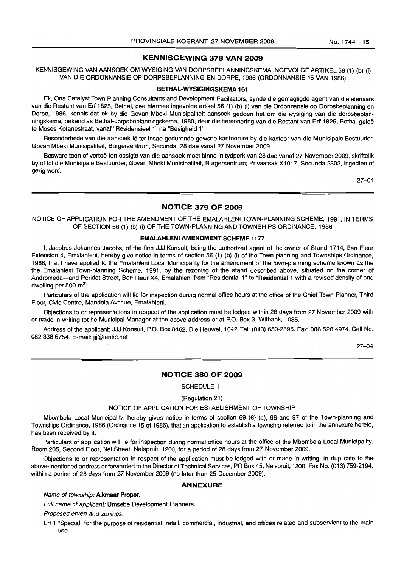# **KENNISGEWING 378 VAN 2009**

KENNISGEWING VAN AANSOEK OM WYSIGING VAN DORPSBEPLANNINGSKEMA INGEVOLGE ARTIKEL 56 (1) (b) (i) VAN DIE ORDONNANSIE OP DORPSBEPLANNING EN DORPE, 1986 (ORDONNANSIE 15 VAN 1986)

#### **BETHAL-WYSIGINGSKEMA 161**

Ek, Ons Catalyst Town Planning Consultants and Development Facilitators, synde die gemagtigde agent van die eienaars van die Restant van Erf 1825, Bethal, gee hiermee ingevolge artikel 56 (1) (b) (i) van die Ordonnansie op Dorpsbeplanning en Dorpe, 1986, kennis dat ek by die Govan Mbeki Munisipaliteit aansoek gedoen het om die wysiging van die dorpsbeplanningskema, bekend as Bethal-dorpsbeplanningskema, 1980, deur die hersonering van die Restant van Erf 1825, Betha, gelee te Moses Kotanestraat, vanaf "Residensieel 1" na "Besigheid 1",

Besonderhede van die aansoek lê ter insae gedurende gewone kantoorure by die kantoor van die Munisipale Bestuuder, Govan Mbeki Munisipaliteit, Burgersentrum, Secunda, 28 dae vanaf 27 November 2009.

Besware teen of vertoë ten opsigte van die aansoek moet binne 'n tydperk van 28 dae vanaf 27 November 2009, skriftelik by of tot die Munisipale Bestuurder, Govan Mbeki Munisipaliteit, Burgersentrum; Privaatsak X1017, Secunda 2302, ingedien of gerig word.

27-04

## **NOTICE 379 OF 2009**

NOTICE OF APPLICATION FOR THE AMENDMENT OF THE EMALAHLENI TOWN-PLANNING SCHEME, 1991, IN TERMS OF SECTION 56 (1) (b) (i) OF THE TOWN-PLANNiNG AND TOWNSHIPS ORDINANCE, 1986

#### **EMALAHLENI AMENDMENT SCHEME 1177**

I, Jacobus Johannes Jacobs, of the firm JJJ Konsult, being the authorized agent of the owner of Stand 1714, Ben Fleur Extension 4, Emalahleni, hereby give notice in terms of section 56 (1) (b) (i) of the Town-planning and Townships Ordinance, 1986, that I have applied to the Emalahleni Local Municipality for the amendment of the town-planning scheme known as the the Emalahleni Town-planning Scheme, 1991, by the rezoning of the stand described above, situated on the corner of Andromeda-and Peridot Street, Ben Fleur X4, Emalahleni from "Residential 1" to "Residential 1 with a revised density of one dwelling per 500 m<sup>2'</sup>

Particulars of the application will lie for inspection during normal office hours at the office of the Chief Town Planner, Third Floor, Civic Centre, Mandela Avenue, Emalahleni.

Objections to or representations in respect of the application must be lodged within 28 days from 27 November 2009 with or made in writing tot he Municipal Manager at the above address or at P.O. Box 3, Witbank, 1035.

Address of the applicant: JJJ Konsult, P.O. Box 8462, Die Heuwel, 1042. Tel: (013) 650-2396. Fax: 0865284974. Cell No. 082 338 6754. E-mail: jjj@lantic.net

27-04

## **NOTICE 380 OF 2009**

SCHEDULE 11

(Regulation 21)

#### NOTICE OF APPLICATION FOR ESTABLISHMENT OF TOWNSHIP

Mbombela Local Municipality, hereby gives notice in terms of section 69 (6) (a), 96 and 97 of the Town-planning and Townships Ordinance, 1986 (Ordinance 15 of 1986), that an application to establish a township referred to in the annexure hereto, has been received by it.

Particulars of application will lie for inspection during normal office hours at the office of the Mbombela Local Municipality, Room 205, Second Floor, Nel Street, Nelspruit, 1200, for a period of 28 days from 27 November 2009.

Objections to or representation in respect of the application must be lodged with or made in writing, in duplicate to the above-mentioned address or forwarded to the Director of Technical Services, PO Box 45, Nelspruit, 1200, Fax No, (013) 759-2194, within a period of 28 days from 27 November 2009 (no later than 25 December 2009).

# **ANNEXURE**

#### Name of township: **A1kmaar Proper.**

Full name of applicant: Umsebe Development Planners.

Proposed erven and zonings:

Erf 1 "Special" for the purpose of residential, retail, commercial, industrial, and offices related and subservient to the main use.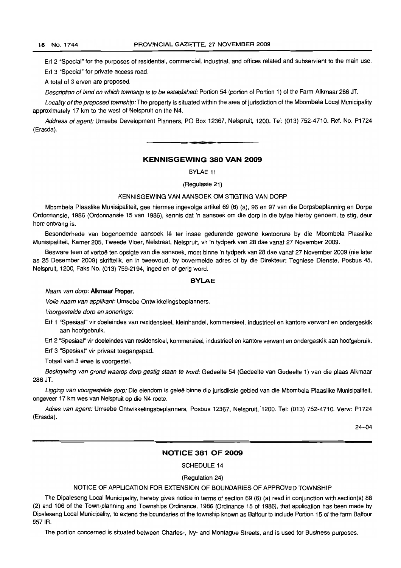Erf 2 "Special" for the purposes of residential, commercial, industrial, and offices related and subservient to the main use. Erf 3 "Special" for private access road.

A total of 3 erven are proposed.

Description of land on which township is to be established: Portion 54 (portion of Portion 1) of the Farm Alkmaar 286 JT.

Locality of the proposed township: The property is situated within the area of jurisdiction of the Mbombela Local Municipality approximately 17 km to the west of Nelspruit on the N4.

Address of agent: Umsebe Development Planners, PO Box 12367, Nelspruit, 1200. Tel: (013) 752-4710. Ref. No. P1724 (Erasda).

**= •**

# **KENNISGEWING 380 VAN 2009**

BYLAE 11

(Regulasie 21)

## KENNISGEWING VAN AANSOEK OM STIGTING VAN DORP

Mbombela Plaaslike Munisipaliteit, gee hiermee ingevolge artikel 69 (6) (a), 96 en 97 van die Dorpsbeplanning en Dorpe Ordonnansie, 1986 (Ordonnansie 15 van 1986), kennis dat 'n aansoek om die dorp in die bylae hierby genoem, te stig, deur hom ontvang is.

Besonderhede van bogenoemde aansoek lê ter insae gedurende gewone kantoorure by die Mbombela Plaaslike Munisipaliteit, Kamer 205, Tweede Vloer, Nelstraat, Nelspruit, vir 'n tydperk van 28 dae vanaf 27 November 2009.

Besware teen of vertoë ten opsigte van die aansoek, moet binne 'n tydperk van 28 dae vanaf 27 November 2009 (nie later as 25 Desember 2009) skriftelik, en in tweevoud, by bovermelde adres of by die Direkteur: Tegniese Dienste, Posbus 45, Nelspruit, 1200, Faks No. (013) 759-2194, ingedien of gerig word.

#### **BYLAE**

#### Naam van dorp: **A1kmaar Proper.**

Volle naam van applikant: Umsebe Ontwikkelingsbeplanners.

Voorgestelde dorp en sonerings:

Erf 1 "Spesiaal" vir doeleindes van residensieel, kleinhandel, kommersieel, industrieel en kantore verwant en ondergeskik aan hoofgebruik.

Erf 2 "Spesiaal" vir doeleindes van residensieel, kommersieel, industrieel en kantore verwant en ondergeskik aan hoofgebruik.

Erf 3 "Spesiaal" vir privaat toegangspad.

Totaal van 3 erwe is voorgestel.

Beskrywing van grond waarop dorp gestig staan te word: Gedeelte 54 (Gedeelte van Gedeelte 1) van die plaas Alkmaar 286 JT.

Ligging van voorgestelde dorp: Die eiendom is geleë binne die jurisdiksie gebied van die Mbombela Plaaslike Munisipaliteit, ongeveer 17 km wes van Nelspruit op die N4 roete.

Adres van agent: Umsebe Ontwikkelingsbeplanners, Posbus 12367, Nelspruit, 1200. Tel: (013) 752-4710. Verw: P1724 (Erasda).

24-04

## **NOTICE 381 OF 2009**

SCHEDULE 14

## (Regulation 24)

#### NOTICE OF APPLICATION FOR EXTENSION OF BOUNDARIES OF APPROVED TOWNSHIP

The Dipaleseng Local Municipality, hereby gives notice in terms of section 69 (6) (a) read in conjunction with section(s) 88 (2) and 106 of the Town-planning and Townships Ordinance, 1986 (Ordinance 15 of 1986), that application has been made by Dipaleseng Local Municipality, to extend the boundaries of the township known as Balfour to include Portion 15 of the farm Balfour 5571R.

The portion concerned is situated between Charles-, Ivy- and Montague Streets, and is used for Business purposes.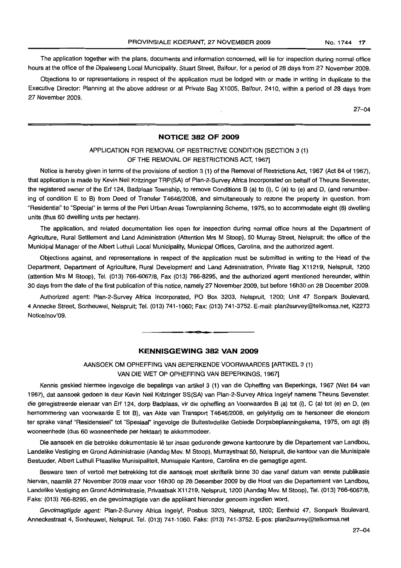The application together with the plans, documents and information concerned, will lie for inspection during normal office hours at the office of the Dipaleseng Local Municipality, Stuart Street, Balfour, for a period of 28 days from 27 November 2009.

Objections to or representations in respect of the application must be lodged with or made in writing in duplicate to the Executive Director: Planning at the above address or at Private Bag X1005, Balfour, 2410, within a period of 28 days from 27 November 2009.

27-04

# **NOTICE 382 OF 2009**

# APPLICATION FOR REMOVAL OF RESTRICTIVE CONDITION [SECTION 3 (1) OF THE REMOVAL OF RESTRICTIONS ACT, 1967]

Notice is hereby given in terms of the provisions of section 3 (1) of the Removal of Restrictions Act, 1967 (Act 84 of 1967), that application is made by Kevin Neil Kritzinger TRP(SA) of Plan-2-Survey Africa Incorporated on behalf of Theuns Sevenster, the registered owner of the Erf 124, Badplaas Township, to remove Conditions B (a) to (i), C (a) to (e) and D, (and renumbering of condition E to B) from Deed of Transfer T4646/2008, and simultaneously to rezone the property in question, from "Residential" to "Special" in terms of the Peri Urban Areas Townplanning Scheme, 1975, so to accommodate eight (8) dwelling units (thus 60 dwelling units per hectare).

The application, and reiated documentation lies open for inspection during normal office hours at the Department of Agriculture, Rural Settlement and Land Administration (Attention Mrs M Stoop), 50 Murray Street, Nelspruit; the office of the Municipal Manager of the Albert Luthuli Local Municipality, Municipal Offices, Carolina, and the authorized agent.

Objections against, and representations in respect of the application must be submitted in writing to the Head of the Department, Department of Agriculture, Rural Development and Land Administration, Private Bag X11219, Nelspruit, 1200 (attention Mrs M Stoop), Tel. (013) 766-6067/8, Fax (013) 766-8295, and the authorized agent mentioned hereunder, within 30 days from the date of the first publication of this notice, namely 27 November 2009, but before 16h30 on 28 December 2009.

Authorized agent: Plan-2-Survey Africa Incorporated, PO Box 3203, Nelspruit, 1200; Unit 47 Sonpark Boulevard, 4 Annecke Street, Sonheuwel, Nelspruit; Tel. (013) 741-1060; Fax: (013) 741-3752. E-mail: plan2survey@telkomsa.net, K2273 Notice/nov'09.

## **KENNISGEWING 382 VAN 2009**

**<sup>I</sup> Dt**

# AANSOEK OM OPHEFFING VAN BEPERKENDE VOORWAARDES [ARTIKEL 3 (1) VAN DIE WET OP OPHEFFING VAN BEPERKINGS, 1967]

Kennis geskied hiermee ingevolge die bepalings van artikel 3 (1) van die Opheffing van Beperkings, 1967 *C'Net* 84 van 1967), dat aansoek gedoen is deur Kevin Neil Kritzinger SS(SA) van Plan-2-Survey Africa Ingelyf namens Theuns Sevenster, die geregistreerde eienaar van Erf 124, dorp Badplaas, vir die opheffing an Voorwaardes B (a) tot (i), C (a) tot (e) en D, (en hernommering van voorwaarde E tot B), van Akte van Transport T4646/2008, en gelyktydig om te hersoneer die eiendom ter sprake vanaf "Residensieel" tot "Spesiaal" ingevolge die Buitestedelike Gebiede Dorpsbeplanningskema, 1975, om agt (8) wooneenhede (dus 60 wooneenhede per hektaar) te akkommodeer.

Die aansoek en die betrokke dokumentasie lê ter insae gedurende gewone kantoorure by die Departement van Landbou, Landelike Vestiging en Grond Administrasie (Aandag Mev. M Stoop), Murraystraat 50, Nelspruit, die kantoor van die Munisipale Bestuuder, Albert Luthuli Plaaslike Munisipaliteit, Munisipale Kantore, Carolina en die gemagtige agent.

Besware teen of vertoë met betrekking tot die aansoek moet skriftelik binne 30 dae vanaf datum van eerste publikasie hiervan, naamlik 27 November 2009 maar voor 16h30 op 28 Desember 2009 by die Hoof van die Departement van Landbou, Landelike Vestiging en Grond Administrasie, Privaatsak X11219, Nelspruit, 1200 (Aandag Mev. M Stoop), Tel. (013) 766-6067/8, Faks: (013) 766-8295, en die gevolmagtigde van die applikant hieronder genoem ingedien word.

Gevolmagtigde agent: Plan-2-Survey Africa Ingelyf, Posbus 3203, Nelspruit, 1200; Eenheid 47, Sonpark Boulevard, Anneckestraat 4, Sonheuwel, Nelspruit. Tel. (013) 741-1060. Faks: (013) 741-3752. E-pos: plan2survey@telkomsa.net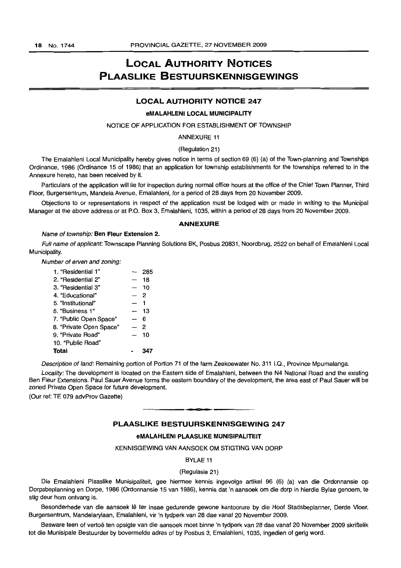# LOCAL AUTHORITY NOTICES PLAASLIKE BESTUURSKENNISGEWINGS

## LOCAL AUTHORITY NOTICE 247

#### eMALAHLENI LOCAL MUNICIPALITY

#### NOTICE OF APPLICATION FOR ESTABLISHMENT OF TOWNSHIP

# ANNEXURE 11

#### (Regulation 21)

The Emalahleni Local Municipality hereby gives notice in terms of section 69 (6) (a) of the Town-planning and Townships Ordinance, 1986 (Ordinance 15 of 1986) that an application for township establishments for the townships referred to in the Annexure hereto, has been received by it.

Particulars of the application will lie for inspection during normal office hours at the office of the Chief Town Planner, Third Floor, Burgersentrum, Mandela Avenue, Emalahleni, for a period of 28 days from 20 November 2009.

Objections to or representations in respect of the application must be lodged with or made in writing to the Municipal Manager at the above address or at P.O. Box 3, Emalahleni, 1035, within a period of 28 days from 20 November 2009.

#### ANNEXURE

#### Name of township: Ben Fleur Extension 2.

Full name of applicant: Townscape Planning Solutions BK, Posbus 20831, Noordbrug, 2522 on behalf of Emalahleni Local Municipality.

Number of erven and zoning:

| 1. "Residential 1"      |                          | 285 |
|-------------------------|--------------------------|-----|
| 2. "Residential 2"      |                          | 18  |
| 3. "Residential 3"      | $\overline{\phantom{0}}$ | 10  |
| 4. "Educational"        |                          | 2   |
| 5. "Institutional"      |                          | 1   |
| 6. "Business 1"         |                          | 13  |
| 7. "Public Open Space"  |                          | 6   |
| 8. "Private Open Space" |                          | 2   |
| 9. "Private Road"       |                          | 10  |
| 10. "Public Road"       |                          |     |
| Total                   |                          |     |

Description of land: Remaining portion of Portion 71 of the farm Zeekoewater No. 311 1.0., Province Mpumalanga.

Locality: The development is located on the Eastern side of Emalahleni, between the N4 National Road and the existing Ben Fleur Extensions. Paul Sauer Avenue forms the eastern boundary of the development, the area east of Paul Sauer will be zoned Private Open Space for future development.

(Our ref: TE 079 advProv Gazette)

# PLAASLIKE BESTUURSKENNISGEWING 247

**10'**

#### eMALAHLENI PLAASLIKE MUNISIPALITEIT

#### KENNISGEWING VAN AANSOEK OM STIGTING VAN DORP

## BYLAE 11

#### (Regulasie 21)

Die Emalahleni Plaaslike Munisipaliteit, gee hiermee kennis ingevolge artikel 96 (6) (a) van die Ordonnansie op Dorpsbeplanning en Dorpe, 1986 (Ordonnansie 15 van 1986), kennis dat 'n aansoek om die dorp in hierdie Bylae genoem, te stig deur hom ontvang is.

Besonderhede van die aansoek lê ter insae gedurende gewone kantoorure by die Hoof Stadsbeplanner, Derde Vloer, Burgersentrum, Mandelarylaan, Emalahleni, vir 'n tydperk van 28 dae vanaf 20 November 2009.

Besware teen of vertoe ten opsigte van die aansoek moet binne 'n tydperk van 28 dae vanaf 20 November 2009 skriftelik tot die Munisipale Bestuurder by bovermelde adres of by Posbus 3, Emalahleni, 1035, ingedien of gerig word.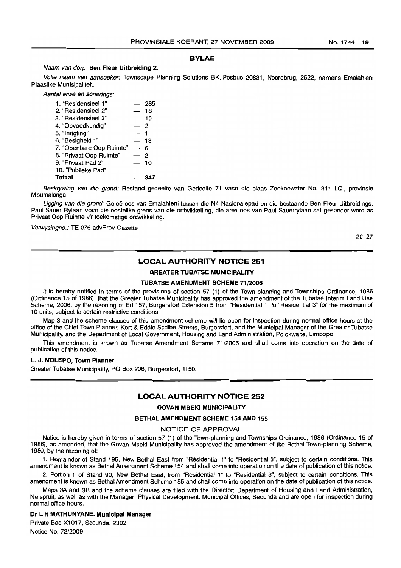# BYLAE

#### Naam van dorp: Ben Fleur Uitbreiding 2.

Volle naam van aansoeker: Townscape Planning Solutions BK, Posbus 20831, Noordbrug, 2522, namens Emalahleni Plaaslike Munisipaliteit.

Aantal erwe en sonerings:

| 1. "Residensieel 1"      |                          | 285 |
|--------------------------|--------------------------|-----|
| 2. "Residensieel 2"      |                          | 18  |
| 3. "Residensieel 3"      | $\overline{\phantom{a}}$ | 10  |
| 4. "Opvoedkundig"        | $-2$                     |     |
| 5. "Inrigting"           |                          |     |
| 6. "Besigheid 1"         | — 13                     |     |
| 7. "Openbare Oop Ruimte" | $\overline{\phantom{0}}$ | 6   |
| 8. "Privaat Oop Ruimte"  |                          | 2   |
| 9. "Privaat Pad 2"       | $\overline{\phantom{0}}$ | 10  |
| 10. "Publieke Pad"       |                          |     |
| <b>Totaal</b>            |                          |     |

Beskrywing van die grond: Restand gedeelte van Gedeelte 71 vasn die plaas Zeekoewater No. 311 I.Q., provinsie Mpumalanga.

Ligging van die grond: Geleë oos van Emalahleni tussen die N4 Nasionalepad en die bestaande Ben Fleur Uitbreidings. Paul Sauer Rylaan vorm die oostelike grens van die ontwikkelling, die area oos van Paul Sauerrylaan sal gesoneer word as Privaat Oop Ruimte vir toekomstige ontwikkeling.

Verwysingno.: TE 076 advProv Gazette

20-27

## LOCAL AUTHORITY NOTICE 251

## GREATER TUBATSE MUNICIPALITY

#### TUBATSE AMENDMENT SCHEME 71/2006

It is hereby notified in terms of the provisions of section 57 (1) of the Town-planning and Townships Ordinance, 1986 (Ordinance 15 of 1986), that the Greater Tubatse Municipality has approved the amendment of the Tubatse Interim Land Use Scheme, 2006, by the rezoning of Erf 157, Burgersfort Extension 5 from "Residential 1" to "Residential 3" for the maximum of 10 units, subject to certain restrictive conditions.

Map 3 and the scheme clauses of this amendment scheme will lie open for inspection during normal office hours at the office of the Chief Town Planner: Kort & Eddie Sedibe Streets, Burgersfort, and the Municipal Manager of the Greater Tubatse Municipality, and the Department of Local Government, Housing and Land Administration, Polokwane, Limpopo.

This amendment is known as Tubatse Amendment Scheme 71/2006 and shall come into operation on the date of publication of this notice.

## L. J. MOLEPO, Town Planner

Greater Tubatse Municipality, PO Box 206, Burgersfort, 1150.

## LOCAL AUTHORITY NOTICE 252

#### GOVAN MBEKI MUNICIPALITY

#### BETHAL AMENDMENT SCHEME 154 AND 155

## NOTICE OF APPROVAL

Notice is hereby given in terms of section 57 (1) of the Town-planning and Townships Ordinance, 1986 (Ordinance 15 of 1986), as amended, that the Govan Mbeki Municipality has approved the amendment of the Bethal Town-planning Scheme, 1980, by the rezoning of:

1. Remainder of Stand 195, New Bethal East from "Residential 1" to "Residential 3", subject to certain conditions. This amendment is known as Bethal Amendment Scheme 154 and shall come into operation on the date of publication of this notice.

2. Portion 1 of Stand 90, New Bethal East, from "Residential 1" to "Residential 3", subject to certain conditions. This amendment is known as Bethal Amendment Scheme 155 and shall come into operation on the date of publication of this notice.

Maps 3A and 3B and the scheme clauses are filed with the Director: Department of Housing and Land Administration, Nelspruit, as well as with the Manager: Physical Development, Municipal Offices, Secunda and are open for inspection during normal office hours.

## Dr L H MATHUNYANE, Municipal Manager

Private Bag X1017, Secunda, 2302 Notice No. 72/2009